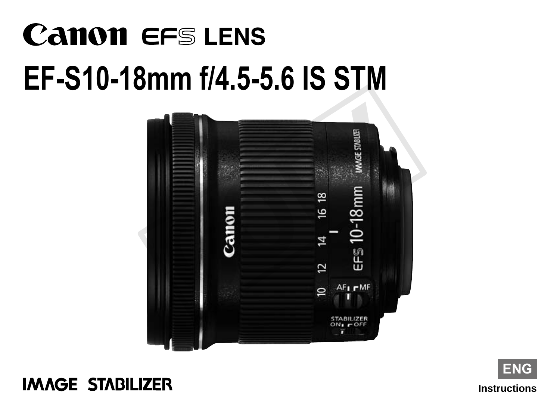# **Canon EFS LENS EF-S10-18mm f/4.5-5.6 IS STM**





**Instructions ENG**

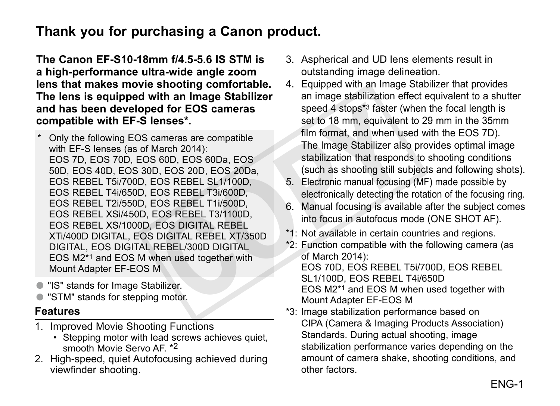## **Thank you for purchasing a Canon product.**

**The Canon EF-S10-18mm f/4.5-5.6 IS STM is a high-performance ultra-wide angle zoom lens that makes movie shooting comfortable. The lens is equipped with an Image Stabilizer and has been developed for EOS cameras compatible with EF-S lenses\*.**

- Only the following EOS cameras are compatible with EF-S lenses (as of March 2014): EOS 7D, EOS 70D, EOS 60D, EOS 60Da, EOS 50D, EOS 40D, EOS 30D, EOS 20D, EOS 20Da, EOS REBEL T5i/700D, EOS REBEL SL1/100D, EOS REBEL T4i/650D, EOS REBEL T3i/600D, EOS REBEL T2i/550D, EOS REBEL T1i/500D, EOS REBEL XSi/450D, EOS REBEL T3/1100D, EOS REBEL XS/1000D, EOS DIGITAL REBEL XTi/400D DIGITAL, EOS DIGITAL REBEL XT/350D DIGITAL, EOS DIGITAL REBEL/300D DIGITAL EOS M2\*1 and EOS M when used together with Mount Adapter EF-EOS M ed for EOS cameras<br>
lenses\*. set to 18 mm, equivalent<br>
cameras are compatible<br>
March 2014):<br>
SeoD, EOS 60Da, EOS<br>
EOS REBEL SL1/100D,<br>
EOS 20De, EOS 20Da,<br>
EOS REBEL T3/600D,<br>
EOS REBEL T3/100D,<br>
EOS REBEL T3/100D,<br>
EOS RE
- "IS" stands for Image Stabilizer.
- "STM" stands for stepping motor.

## **Features**

- 1. Improved Movie Shooting Functions
	- Stepping motor with lead screws achieves quiet. smooth Movie Servo AF \*2
- 2. High-speed, quiet Autofocusing achieved during viewfinder shooting.
- 3. Aspherical and UD lens elements result in outstanding image delineation.
- 4. Equipped with an Image Stabilizer that provides an image stabilization effect equivalent to a shutter speed 4 stops\*3 faster (when the focal length is set to 18 mm, equivalent to 29 mm in the 35mm film format, and when used with the EOS 7D). The Image Stabilizer also provides optimal image stabilization that responds to shooting conditions (such as shooting still subjects and following shots).
- 5. Electronic manual focusing (MF) made possible by electronically detecting the rotation of the focusing ring.
- 6. Manual focusing is available after the subject comes into focus in autofocus mode (ONE SHOT AF).
- \*1: Not available in certain countries and regions.
- \*2: Function compatible with the following camera (as of March 2014): EOS 70D, EOS REBEL T5i/700D, EOS REBEL SL1/100D, EOS REBEL T4i/650D EOS M2\*1 and EOS M when used together with Mount Adapter EF-EOS M
- \*3: Image stabilization performance based on CIPA (Camera & Imaging Products Association) Standards. During actual shooting, image stabilization performance varies depending on the amount of camera shake, shooting conditions, and other factors.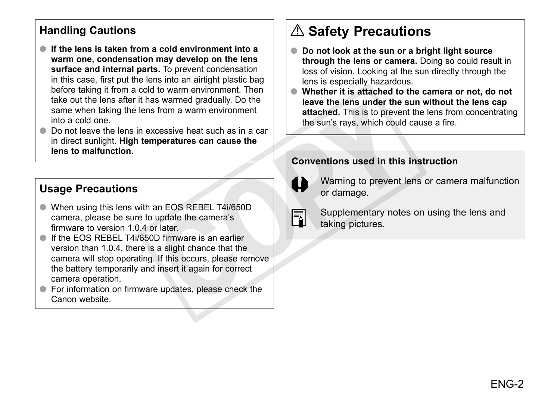## **Handling Cautions**

- ●● **If the lens is taken from a cold environment into a warm one, condensation may develop on the lens surface and internal parts.** To prevent condensation in this case, first put the lens into an airtight plastic bag before taking it from a cold to warm environment. Then take out the lens after it has warmed gradually. Do the same when taking the lens from a warm environment into a cold one.
- ●● Do not leave the lens in excessive heat such as in a car in direct sunlight. **High temperatures can cause the lens to malfunction.**

## **Usage Precautions**

- When using this lens with an EOS REBEL T4i/650D camera, please be sure to update the camera's firmware to version 1.0.4 or later.
- **If the EOS REBEL T4i/650D firmware is an earlier** version than 1.0.4, there is a slight chance that the camera will stop operating. If this occurs, please remove the battery temporarily and insert it again for correct camera operation. Som a warm environment<br>
so from a warm environment<br>
xcessive heat such as in a car<br>
meratures can cause the<br>
conventions used in this<br>
the sun's rays, which could<br>
the sun's rays, which could<br>
the sun's rays, which could<br>
- For information on firmware updates, please check the Canon website.

## **Safety Precautions**

- **Do not look at the sun or a bright light source through the lens or camera.** Doing so could result in loss of vision. Looking at the sun directly through the lens is especially hazardous.
- Whether it is attached to the camera or not, do not **leave the lens under the sun without the lens cap attached.** This is to prevent the lens from concentrating the sun's rays, which could cause a fire.

#### **Conventions used in this instruction**



Warning to prevent lens or camera malfunction or damage.

|--|

Supplementary notes on using the lens and taking pictures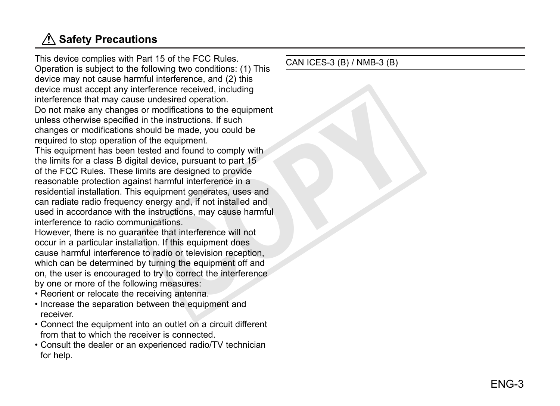## **Safety Precautions**

This device complies with Part 15 of the FCC Rules. Operation is subject to the following two conditions: (1) This device may not cause harmful interference, and (2) this device must accept any interference received, including interference that may cause undesired operation. Do not make any changes or modifications to the equipment unless otherwise specified in the instructions. If such changes or modifications should be made, you could be required to stop operation of the equipment. This equipment has been tested and found to comply with the limits for a class B digital device, pursuant to part 15 of the FCC Rules. These limits are designed to provide reasonable protection against harmful interference in a residential installation. This equipment generates, uses and can radiate radio frequency energy and, if not installed and used in accordance with the instructions, may cause harmful interference to radio communications. modifications to the equipment<br>modifications to the equipment<br>the instructions. If such<br>the equipment.<br>the equipment.<br>ed and found to comply with<br>device, pursuant to part 15<br>s are designed to provide<br>narruful interference

However, there is no guarantee that interference will not occur in a particular installation. If this equipment does cause harmful interference to radio or television reception, which can be determined by turning the equipment off and on, the user is encouraged to try to correct the interference by one or more of the following measures:

- Reorient or relocate the receiving antenna.
- Increase the separation between the equipment and receiver.
- Connect the equipment into an outlet on a circuit different from that to which the receiver is connected.
- Consult the dealer or an experienced radio/TV technician for help.

CAN ICES-3 (B) / NMB-3 (B)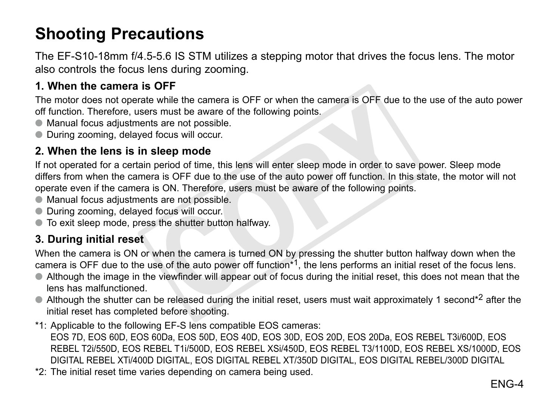## **Shooting Precautions**

The EF-S10-18mm f/4.5-5.6 IS STM utilizes a stepping motor that drives the focus lens. The motor also controls the focus lens during zooming.

### **1. When the camera is OFF**

The motor does not operate while the camera is OFF or when the camera is OFF due to the use of the auto power off function. Therefore, users must be aware of the following points.

- Manual focus adjustments are not possible.
- During zooming, delayed focus will occur.

#### **2. When the lens is in sleep mode**

If not operated for a certain period of time, this lens will enter sleep mode in order to save power. Sleep mode differs from when the camera is OFF due to the use of the auto power off function. In this state, the motor will not operate even if the camera is ON. Therefore, users must be aware of the following points. simulate calmera is Or Former the calmera is Or Forduction<br>of the following points.<br>It is are not possible.<br>It focus will occur.<br>**Sleep mode**<br>period of time, this lens will enter sleep mode in order to save<br>are is OFF due

- Manual focus adjustments are not possible.
- During zooming, delayed focus will occur.
- To exit sleep mode, press the shutter button halfway.

#### **3. During initial reset**

When the camera is ON or when the camera is turned ON by pressing the shutter button halfway down when the camera is OFF due to the use of the auto power off function<sup>\*1</sup>, the lens performs an initial reset of the focus lens.

- ●● Although the image in the viewfinder will appear out of focus during the initial reset, this does not mean that the lens has malfunctioned.
- $\bullet$  Although the shutter can be released during the initial reset, users must wait approximately 1 second\*2 after the initial reset has completed before shooting.
- \*1: Applicable to the following EF-S lens compatible EOS cameras: EOS 7D, EOS 60D, EOS 60Da, EOS 50D, EOS 40D, EOS 30D, EOS 20D, EOS 20Da, EOS REBEL T3i/600D, EOS REBEL T2i/550D, EOS REBEL T1i/500D, EOS REBEL XSi/450D, EOS REBEL T3/1100D, EOS REBEL XS/1000D, EOS DIGITAL REBEL XTi/400D DIGITAL, EOS DIGITAL REBEL XT/350D DIGITAL, EOS DIGITAL REBEL/300D DIGITAL
- \*2: The initial reset time varies depending on camera being used.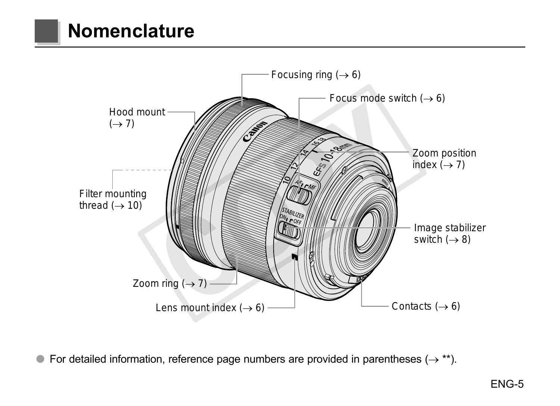## **Nomenclature**



● For detailed information, reference page numbers are provided in parentheses ( $\rightarrow$ \*\*).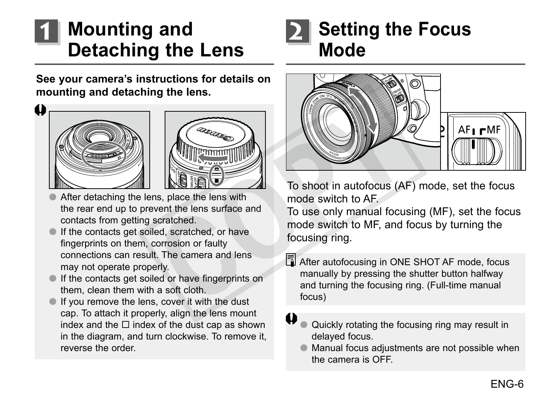## **Mounting and Detaching the Lens**



**See your camera's instructions for details on mounting and detaching the lens.**





- After detaching the lens, place the lens with the rear end up to prevent the lens surface and contacts from getting scratched.
- If the contacts get soiled, scratched, or have fingerprints on them, corrosion or faulty connections can result. The camera and lens may not operate properly.
- ●● If the contacts get soiled or have fingerprints on them, clean them with a soft cloth.
- If you remove the lens, cover it with the dust cap. To attach it properly, align the lens mount index and the  $\Box$  index of the dust cap as shown in the diagram, and turn clockwise. To remove it reverse the order.



To shoot in autofocus (AF) mode, set the focus mode switch to AF.

To use only manual focusing (MF), set the focus mode switch to MF, and focus by turning the focusing ring.

After autofocusing in ONE SHOT AF mode, focus manually by pressing the shutter button halfway and turning the focusing ring. (Full-time manual focus)

Quickly rotating the focusing ring may result in delayed focus.

●● Manual focus adjustments are not possible when the camera is OFF.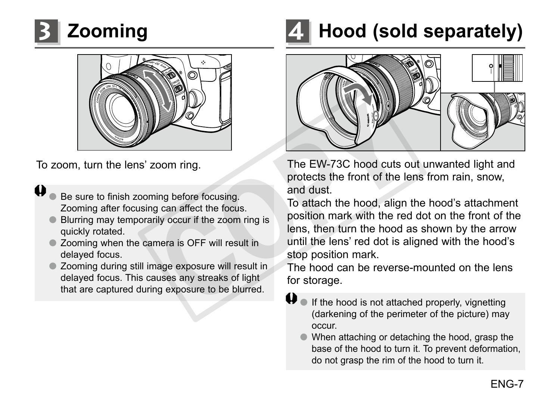



To zoom, turn the lens' zoom ring.

- Be sure to finish zooming before focusing. Zooming after focusing can affect the focus.
- Blurring may temporarily occur if the zoom ring is quickly rotated.
- Zooming when the camera is OFF will result in delayed focus.
- Zooming during still image exposure will result in delayed focus. This causes any streaks of light that are captured during exposure to be blurred.

## **3 Zooming 4 Hood (sold separately)**



The EW-73C hood cuts out unwanted light and protects the front of the lens from rain, snow, and dust.

To attach the hood, align the hood's attachment position mark with the red dot on the front of the lens, then turn the hood as shown by the arrow until the lens' red dot is aligned with the hood's stop position mark. Example the focusing The EW-73C hood cuts contained a protects the front of the land dust.<br>
The EW-73C hood cuts contained and dust.<br>
To attach the hood, align<br>
inly occur if the zoom ring is<br>
not and dust.<br>
To attach the

The hood can be reverse-mounted on the lens for storage.

- $\bigoplus$  If the hood is not attached properly, vignetting (darkening of the perimeter of the picture) may occur.
	- When attaching or detaching the hood, grasp the base of the hood to turn it. To prevent deformation, do not grasp the rim of the hood to turn it.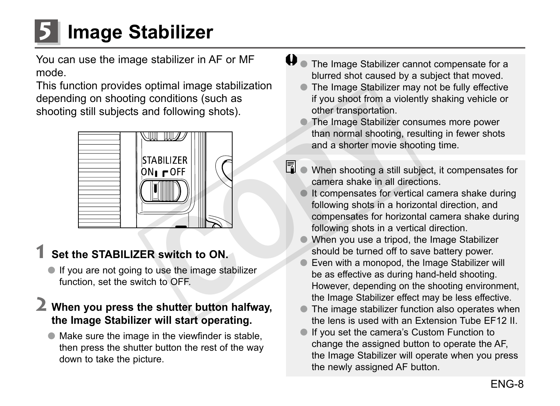**5 Image Stabilizer**

You can use the image stabilizer in AF or MF mode.

This function provides optimal image stabilization depending on shooting conditions (such as shooting still subjects and following shots).



## **1 Set the STABILIZER switch to ON.**

● If you are not going to use the image stabilizer function, set the switch to OFF.

## **2 When you press the shutter button halfway, the Image Stabilizer will start operating.**

●● Make sure the image in the viewfinder is stable, then press the shutter button the rest of the way down to take the picture.

- $\bigoplus$  The Image Stabilizer cannot compensate for a blurred shot caused by a subject that moved.
	- The Image Stabilizer may not be fully effective if you shoot from a violently shaking vehicle or other transportation.
	- The Image Stabilizer consumes more power than normal shooting, resulting in fewer shots and a shorter movie shooting time.
- $\boxed{5}$   $\bullet$  When shooting a still subject, it compensates for camera shake in all directions.
	- It compensates for vertical camera shake during following shots in a horizontal direction, and compensates for horizontal camera shake during following shots in a vertical direction.
	- When you use a tripod, the Image Stabilizer should be turned off to save battery power.
	- Even with a monopod, the Image Stabilizer will be as effective as during hand-held shooting. However, depending on the shooting environment, the Image Stabilizer effect may be less effective.
	- The image stabilizer function also operates when the lens is used with an Extension Tube EF12 II.
	- If you set the camera's Custom Function to change the assigned button to operate the AF, the Image Stabilizer will operate when you press the newly assigned AF button.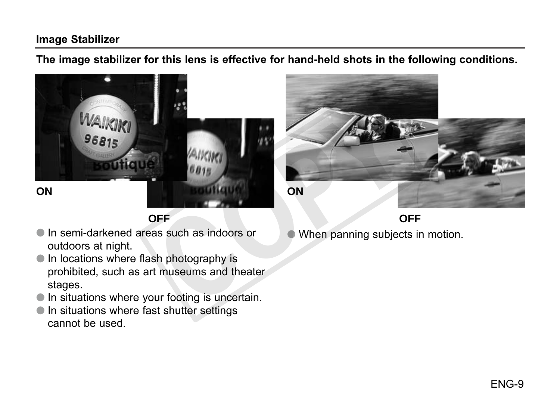#### **Image Stabilizer**

**The image stabilizer for this lens is effective for hand-held shots in the following conditions.**



**ON**

**OFF**

- In semi-darkened areas such as indoors or outdoors at night.
- ●● In locations where flash photography is prohibited, such as art museums and theater stages.
- In situations where your footing is uncertain.
- In situations where fast shutter settings cannot be used.



●● When panning subjects in motion.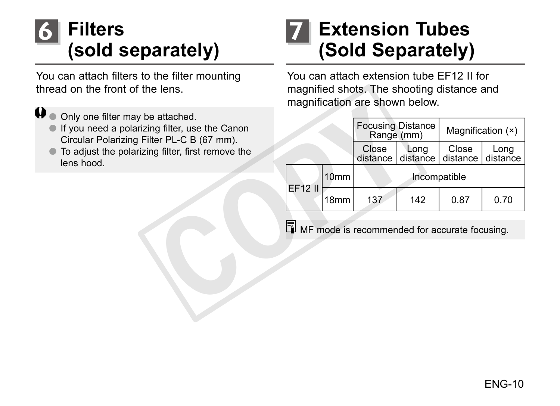## **Filters (sold separately)**

You can attach filters to the filter mounting thread on the front of the lens.

#### $\mathbf \theta$ ● Only one filter may be attached.

- ●● If you need a polarizing filter, use the Canon Circular Polarizing Filter PL-C B (67 mm).
- ●● To adjust the polarizing filter, first remove the lens hood.

## **6 Extension Tubes (Sold Separately) 7**

You can attach extension tube EF12 II for magnified shots. The shooting distance and magnification are shown below.

|                                                                                               |                                                           |                  | magnification are shown below. |                                        |                   |                   |  |
|-----------------------------------------------------------------------------------------------|-----------------------------------------------------------|------------------|--------------------------------|----------------------------------------|-------------------|-------------------|--|
| e attached.<br>ng filter, use the Canon<br>ter PL-C B (67 mm).<br>ng filter, first remove the |                                                           |                  |                                | <b>Focusing Distance</b><br>Range (mm) |                   | Magnification (x) |  |
|                                                                                               |                                                           |                  | Close<br>distance l            | Long<br>distance I                     | Close<br>distance | Long<br>distance  |  |
|                                                                                               | EF12 II                                                   | 10 <sub>mm</sub> | Incompatible                   |                                        |                   |                   |  |
|                                                                                               |                                                           | 18 <sub>mm</sub> | 137                            | 142                                    | 0.87              | 0.70              |  |
|                                                                                               | $\boxed{3}$ MF mode is recommended for accurate focusing. |                  |                                |                                        |                   |                   |  |
|                                                                                               |                                                           |                  |                                |                                        |                   |                   |  |
|                                                                                               |                                                           |                  |                                |                                        |                   |                   |  |
|                                                                                               |                                                           |                  |                                |                                        |                   |                   |  |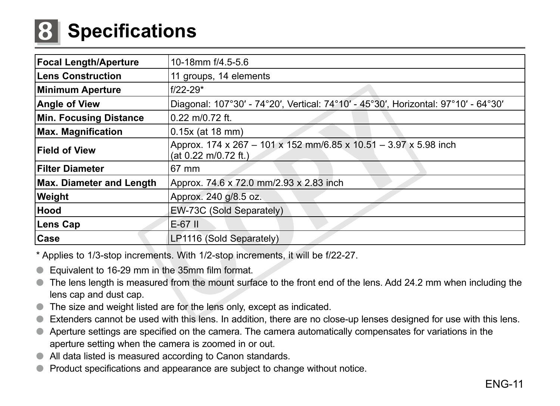## **8 Specifications**

| <b>Focal Length/Aperture</b>                                                                                                                                                                                                                                                                   | 10-18mm f/4.5-5.6                                                                        |  |  |  |  |
|------------------------------------------------------------------------------------------------------------------------------------------------------------------------------------------------------------------------------------------------------------------------------------------------|------------------------------------------------------------------------------------------|--|--|--|--|
| <b>Lens Construction</b>                                                                                                                                                                                                                                                                       | 11 groups, 14 elements                                                                   |  |  |  |  |
| Minimum Aperture                                                                                                                                                                                                                                                                               | $f/22 - 29*$                                                                             |  |  |  |  |
| <b>Angle of View</b>                                                                                                                                                                                                                                                                           | Diagonal: 107°30' - 74°20', Vertical: 74°10' - 45°30', Horizontal: 97°10' - 64°30'       |  |  |  |  |
| <b>Min. Focusing Distance</b>                                                                                                                                                                                                                                                                  | $0.22$ m/0.72 ft.                                                                        |  |  |  |  |
| <b>Max. Magnification</b>                                                                                                                                                                                                                                                                      | $0.15x$ (at 18 mm)                                                                       |  |  |  |  |
| <b>Field of View</b>                                                                                                                                                                                                                                                                           | Approx. 174 x 267 - 101 x 152 mm/6.85 x 10.51 - 3.97 x 5.98 inch<br>(at 0.22 m/0.72 ft.) |  |  |  |  |
| <b>Filter Diameter</b>                                                                                                                                                                                                                                                                         | 67 mm                                                                                    |  |  |  |  |
| Max. Diameter and Length                                                                                                                                                                                                                                                                       | Approx. 74.6 x 72.0 mm/2.93 x 2.83 inch                                                  |  |  |  |  |
| Weight                                                                                                                                                                                                                                                                                         | Approx. 240 g/8.5 oz.                                                                    |  |  |  |  |
| Hood                                                                                                                                                                                                                                                                                           | EW-73C (Sold Separately)                                                                 |  |  |  |  |
| Lens Cap                                                                                                                                                                                                                                                                                       | $E-67$ II                                                                                |  |  |  |  |
| Case                                                                                                                                                                                                                                                                                           | LP1116 (Sold Separately)                                                                 |  |  |  |  |
| * Applies to 1/3-stop increments. With 1/2-stop increments, it will be f/22-27.                                                                                                                                                                                                                |                                                                                          |  |  |  |  |
| Equivalent to 16-29 mm in the 35mm film format.<br>$\bullet$<br>The lens length is measured from the mount surface to the front end of the lens. Add 24.2 mm when including the<br>$\bullet$<br>lens cap and dust cap.<br>The size and weight listed are for the lens only except as indicated |                                                                                          |  |  |  |  |
|                                                                                                                                                                                                                                                                                                |                                                                                          |  |  |  |  |

- Equivalent to 16-29 mm in the 35mm film format.
- ●● The lens length is measured from the mount surface to the front end of the lens. Add 24.2 mm when including the lens cap and dust cap.
- ●● The size and weight listed are for the lens only, except as indicated.
- ●● Extenders cannot be used with this lens. In addition, there are no close-up lenses designed for use with this lens.
- Aperture settings are specified on the camera. The camera automatically compensates for variations in the aperture setting when the camera is zoomed in or out.
- All data listed is measured according to Canon standards.
- Product specifications and appearance are subject to change without notice.